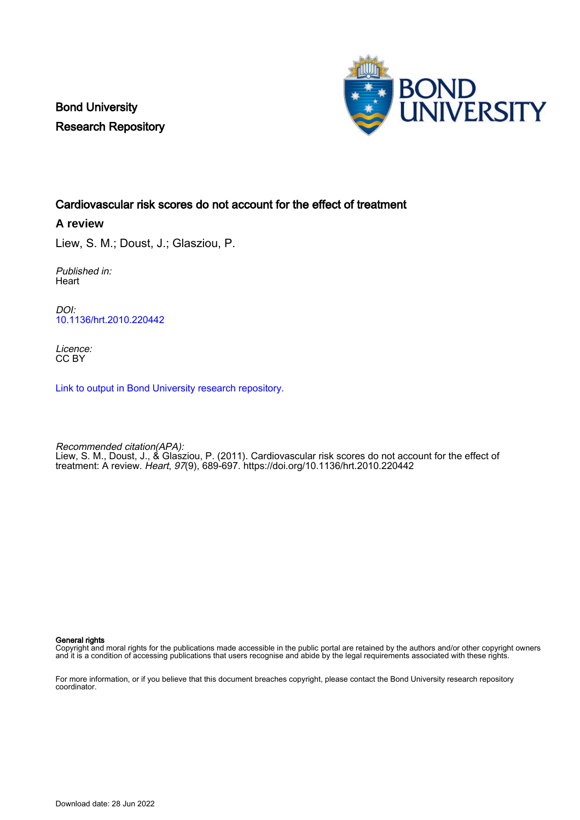Bond University Research Repository



# Cardiovascular risk scores do not account for the effect of treatment

**A review**

Liew, S. M.; Doust, J.; Glasziou, P.

Published in: **Heart** 

DOI: [10.1136/hrt.2010.220442](https://doi.org/10.1136/hrt.2010.220442)

Licence: CC BY

[Link to output in Bond University research repository.](https://research.bond.edu.au/en/publications/3dd8ca54-257d-46d1-9ef5-96a9c135cb2a)

Recommended citation(APA): Liew, S. M., Doust, J., & Glasziou, P. (2011). Cardiovascular risk scores do not account for the effect of treatment: A review. Heart, 97(9), 689-697. <https://doi.org/10.1136/hrt.2010.220442>

General rights

Copyright and moral rights for the publications made accessible in the public portal are retained by the authors and/or other copyright owners and it is a condition of accessing publications that users recognise and abide by the legal requirements associated with these rights.

For more information, or if you believe that this document breaches copyright, please contact the Bond University research repository coordinator.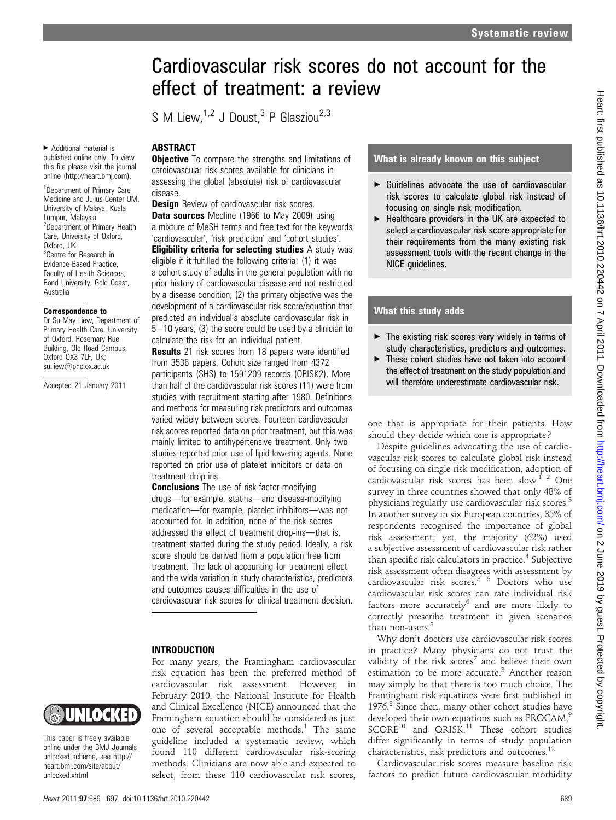# Cardiovascular risk scores do not account for the effect of treatment: a review

S M Liew,  $1.2$  J Doust  $3$  P Glasziou<sup>2,3</sup>

### $\blacktriangleright$  Additional material is published online only. To view this file please visit the journal online (http://heart.bmj.com).

<sup>1</sup>Department of Primary Care Medicine and Julius Center UM, University of Malaya, Kuala Lumpur, Malaysia <sup>2</sup>Department of Primary Health Care, University of Oxford, Oxford, UK <sup>3</sup>Centre for Research in Evidence-Based Practice, Faculty of Health Sciences, Bond University, Gold Coast, Australia

### Correspondence to

Dr Su May Liew, Department of Primary Health Care, University of Oxford, Rosemary Rue Building, Old Road Campus, Oxford OX3 7LF, UK; su.liew@phc.ox.ac.uk

Accepted 21 January 2011

**ABSTRACT Objective** To compare the strengths and limitations of cardiovascular risk scores available for clinicians in assessing the global (absolute) risk of cardiovascular disease.

**Design** Review of cardiovascular risk scores. **Data sources** Medline (1966 to May 2009) using a mixture of MeSH terms and free text for the keywords 'cardiovascular', 'risk prediction' and 'cohort studies'. **Eligibility criteria for selecting studies** A study was eligible if it fulfilled the following criteria: (1) it was a cohort study of adults in the general population with no prior history of cardiovascular disease and not restricted by a disease condition; (2) the primary objective was the development of a cardiovascular risk score/equation that predicted an individual's absolute cardiovascular risk in  $5-10$  years; (3) the score could be used by a clinician to calculate the risk for an individual patient.

**Results** 21 risk scores from 18 papers were identified from 3536 papers. Cohort size ranged from 4372

participants (SHS) to 1591209 records (QRISK2). More than half of the cardiovascular risk scores (11) were from studies with recruitment starting after 1980. Definitions and methods for measuring risk predictors and outcomes varied widely between scores. Fourteen cardiovascular risk scores reported data on prior treatment, but this was mainly limited to antihypertensive treatment. Only two studies reported prior use of lipid-lowering agents. None reported on prior use of platelet inhibitors or data on treatment drop-ins.

**Conclusions** The use of risk-factor-modifying drugs-for example, statins-and disease-modifying medication-for example, platelet inhibitors-was not accounted for. In addition, none of the risk scores addressed the effect of treatment drop-ins-that is, treatment started during the study period. Ideally, a risk score should be derived from a population free from treatment. The lack of accounting for treatment effect and the wide variation in study characteristics, predictors and outcomes causes difficulties in the use of cardiovascular risk scores for clinical treatment decision.

For many years, the Framingham cardiovascular

# INTRODUCTION

risk equation has been the preferred method of cardiovascular risk assessment. However, in February 2010, the National Institute for Health and Clinical Excellence (NICE) announced that the Framingham equation should be considered as just one of several acceptable methods.<sup>1</sup> The same guideline included a systematic review, which found 110 different cardiovascular risk-scoring methods. Clinicians are now able and expected to select, from these 110 cardiovascular risk scores,

# What is already known on this subject

- $\blacktriangleright$  Guidelines advocate the use of cardiovascular risk scores to calculate global risk instead of focusing on single risk modification.
- $\blacktriangleright$  Healthcare providers in the UK are expected to select a cardiovascular risk score appropriate for their requirements from the many existing risk assessment tools with the recent change in the NICE guidelines.

# What this study adds

- $\blacktriangleright$  The existing risk scores vary widely in terms of study characteristics, predictors and outcomes.
- $\blacktriangleright$  These cohort studies have not taken into account the effect of treatment on the study population and will therefore underestimate cardiovascular risk.

one that is appropriate for their patients. How should they decide which one is appropriate?

Despite guidelines advocating the use of cardiovascular risk scores to calculate global risk instead of focusing on single risk modification, adoption of cardiovascular risk scores has been slow.<sup>1 2</sup> One survey in three countries showed that only 48% of physicians regularly use cardiovascular risk scores.<sup>3</sup> In another survey in six European countries, 85% of respondents recognised the importance of global risk assessment; yet, the majority (62%) used a subjective assessment of cardiovascular risk rather than specific risk calculators in practice.<sup>4</sup> Subjective risk assessment often disagrees with assessment by cardiovascular risk scores.<sup>3 5</sup> Doctors who use cardiovascular risk scores can rate individual risk factors more accurately $^6$  and are more likely to correctly prescribe treatment in given scenarios than non-users.<sup>3</sup>

Why don't doctors use cardiovascular risk scores in practice? Many physicians do not trust the validity of the risk scores<sup>7</sup> and believe their own estimation to be more accurate.<sup>3</sup> Another reason may simply be that there is too much choice. The Framingham risk equations were first published in 1976. $8$  Since then, many other cohort studies have developed their own equations such as PROCAM,<sup>9</sup> SCORE<sup>10</sup> and QRISK.<sup>11</sup> These cohort studies differ significantly in terms of study population characteristics, risk predictors and outcomes.<sup>12</sup>

Cardiovascular risk scores measure baseline risk factors to predict future cardiovascular morbidity

This paper is freely available online under the BMJ Journals unlocked scheme, see http:// heart.bmj.com/site/about/ unlocked.xhtml

UNLOCKED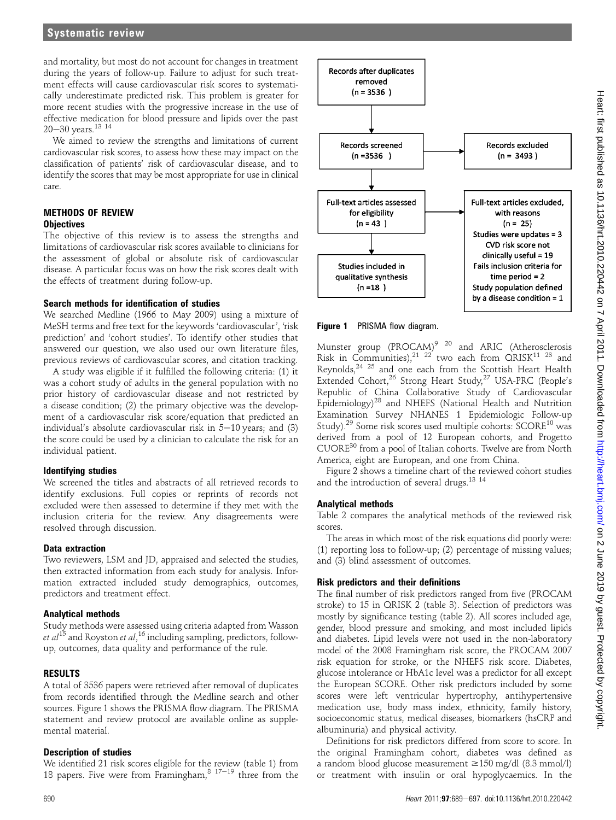and mortality, but most do not account for changes in treatment during the years of follow-up. Failure to adjust for such treatment effects will cause cardiovascular risk scores to systematically underestimate predicted risk. This problem is greater for more recent studies with the progressive increase in the use of effective medication for blood pressure and lipids over the past 20-30 years. $^{13}$   $^{14}$ 

We aimed to review the strengths and limitations of current cardiovascular risk scores, to assess how these may impact on the classification of patients' risk of cardiovascular disease, and to identify the scores that may be most appropriate for use in clinical care.

# METHODS OF REVIEW **Objectives**

The objective of this review is to assess the strengths and limitations of cardiovascular risk scores available to clinicians for the assessment of global or absolute risk of cardiovascular disease. A particular focus was on how the risk scores dealt with the effects of treatment during follow-up.

# Search methods for identification of studies

We searched Medline (1966 to May 2009) using a mixture of MeSH terms and free text for the keywords 'cardiovascular', 'risk prediction' and 'cohort studies'. To identify other studies that answered our question, we also used our own literature files, previous reviews of cardiovascular scores, and citation tracking.

A study was eligible if it fulfilled the following criteria: (1) it was a cohort study of adults in the general population with no prior history of cardiovascular disease and not restricted by a disease condition; (2) the primary objective was the development of a cardiovascular risk score/equation that predicted an individual's absolute cardiovascular risk in  $5-10$  years; and (3) the score could be used by a clinician to calculate the risk for an individual patient.

# Identifying studies

We screened the titles and abstracts of all retrieved records to identify exclusions. Full copies or reprints of records not excluded were then assessed to determine if they met with the inclusion criteria for the review. Any disagreements were resolved through discussion.

# Data extraction

Two reviewers, LSM and JD, appraised and selected the studies, then extracted information from each study for analysis. Information extracted included study demographics, outcomes, predictors and treatment effect.

# Analytical methods

Study methods were assessed using criteria adapted from Wasson et  $al^{15}$  and Royston et al,  $^{16}$  including sampling, predictors, followup, outcomes, data quality and performance of the rule.

# RESULTS

A total of 3536 papers were retrieved after removal of duplicates from records identified through the Medline search and other sources. Figure 1 shows the PRISMA flow diagram. The PRISMA statement and review protocol are available online as supplemental material.

# Description of studies

We identified 21 risk scores eligible for the review (table 1) from 18 papers. Five were from Framingham, $8^{17-19}$  three from the



### Figure 1 PRISMA flow diagram.

Munster group  $(PROCAM)^{9}$ <sup>20</sup> and ARIC (Atherosclerosis Risk in Communities), $21 \frac{22}{22}$  two each from QRISK $11 \frac{23}{23}$  and Reynolds, $24$   $25$  and one each from the Scottish Heart Health Extended Cohort,<sup>26</sup> Strong Heart Study,<sup>27</sup> USA-PRC (People's Republic of China Collaborative Study of Cardiovascular Epidemiology)<sup>28</sup> and NHEFS (National Health and Nutrition Examination Survey NHANES 1 Epidemiologic Follow-up Study).<sup>29</sup> Some risk scores used multiple cohorts: SCORE<sup>10</sup> was derived from a pool of 12 European cohorts, and Progetto CUORE30 from a pool of Italian cohorts. Twelve are from North America, eight are European, and one from China.

Figure 2 shows a timeline chart of the reviewed cohort studies and the introduction of several drugs.<sup>13 14</sup>

# Analytical methods

Table 2 compares the analytical methods of the reviewed risk scores.

The areas in which most of the risk equations did poorly were: (1) reporting loss to follow-up; (2) percentage of missing values; and (3) blind assessment of outcomes.

# Risk predictors and their definitions

The final number of risk predictors ranged from five (PROCAM stroke) to 15 in QRISK 2 (table 3). Selection of predictors was mostly by significance testing (table 2). All scores included age, gender, blood pressure and smoking, and most included lipids and diabetes. Lipid levels were not used in the non-laboratory model of the 2008 Framingham risk score, the PROCAM 2007 risk equation for stroke, or the NHEFS risk score. Diabetes, glucose intolerance or HbA1c level was a predictor for all except the European SCORE. Other risk predictors included by some scores were left ventricular hypertrophy, antihypertensive medication use, body mass index, ethnicity, family history, socioeconomic status, medical diseases, biomarkers (hsCRP and albuminuria) and physical activity.

Definitions for risk predictors differed from score to score. In the original Framingham cohort, diabetes was defined as a random blood glucose measurement  $\geq$ 150 mg/dl (8.3 mmol/l) or treatment with insulin or oral hypoglycaemics. In the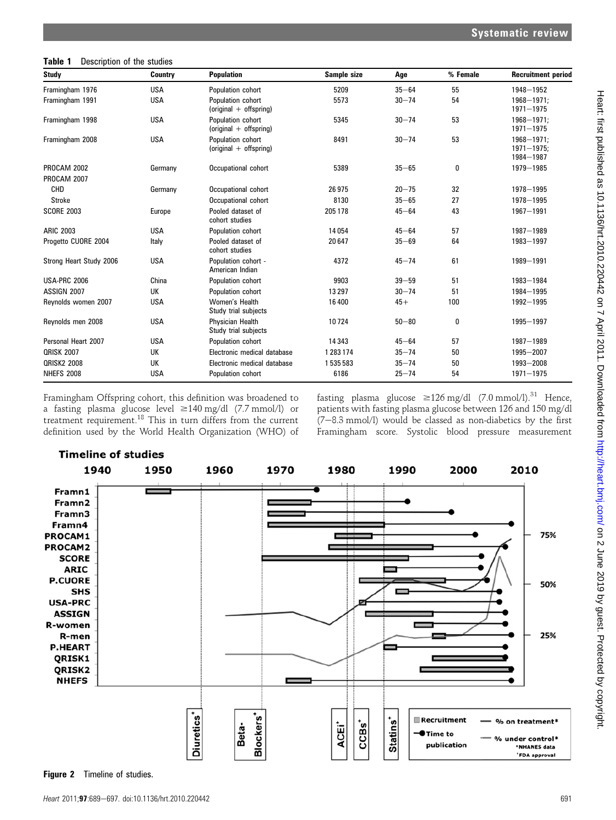#### Table 1 Description of the studies Study **Study** Country Population Sample size Age % Female Recruitment period Framingham 1976 USA Population cohort 5209 35e64 55 1948e1952 Framingham 1991 USA Population cohort  $(criqinal + offspring)$ 5573 30-74 54 1968-1971;  $1971 - 1975$ Framingham 1998 USA Population cohort  $(c_{\text{r}}\hat{c}_{\text{r}} + c_{\text{r}}\hat{c}_{\text{r}})$  $5345$   $30-74$   $53$   $1968-1971$ ;  $1971 - 1975$ Framingham 2008 USA USA Population cohort  $(original + offspring)$ 8491 30-74 53 1968-1971;  $1971 - 1975$ ; 1984-1987 PROCAM 2002 **Germany** Occupational cohort 5389 35-65 0 1979-1985 PROCAM 2007 CHD Germany Occupational cohort 26 975 20e75 32 1978e1995 Stroke Occupational cohort 8130 35e65 27 1978e1995 SCORE 2003 **Europe** Pooled dataset of cohort studies 205 178 45 - 64 43 1967 - 1991 ARIC 2003 USA Population cohort 14 054 45e64 57 1987e1989 Progetto CUORE 2004 Italy Pooled dataset of cohort studies 20 647 35 - 69 64 1983 - 1983 Strong Heart Study 2006 USA Population cohort -American Indian 4372 45-74 61 1989-1991 USA-PRC 2006 China Population cohort 9903 39e59 51 1983e1984 ASSIGN 2007 UK Population cohort 13 297 30e74 51 1984e1995 Reynolds women 2007 USA Women's Health Study trial subjects  $16\,400$   $45+$   $100$   $1992-1995$ Reynolds men 2008 USA Physician Health Study trial subjects 10 724 50 - 80 0 1995 - 1997 Personal Heart 2007 USA Population cohort 14 343 45-64 57 1989-1989 ORISK 2007 **UK** Electronic medical database 1 283 174 35-74 50 1995-2007 ORISK2 2008 UK UK Electronic medical database 1535 583 35-74 50 1993-2008 NHEFS 2008 USA Population cohort 6186 25e74 54 1971e1975

Framingham Offspring cohort, this definition was broadened to a fasting plasma glucose level  $\geq$ 140 mg/dl (7.7 mmol/l) or treatment requirement.18 This in turn differs from the current definition used by the World Health Organization (WHO) of fasting plasma glucose  $\geq$ 126 mg/dl (7.0 mmol/l).<sup>31</sup> Hence, patients with fasting plasma glucose between 126 and 150 mg/dl  $(7-8.3 \text{ mmol/l})$  would be classed as non-diabetics by the first Framingham score. Systolic blood pressure measurement



Figure 2 Timeline of studies.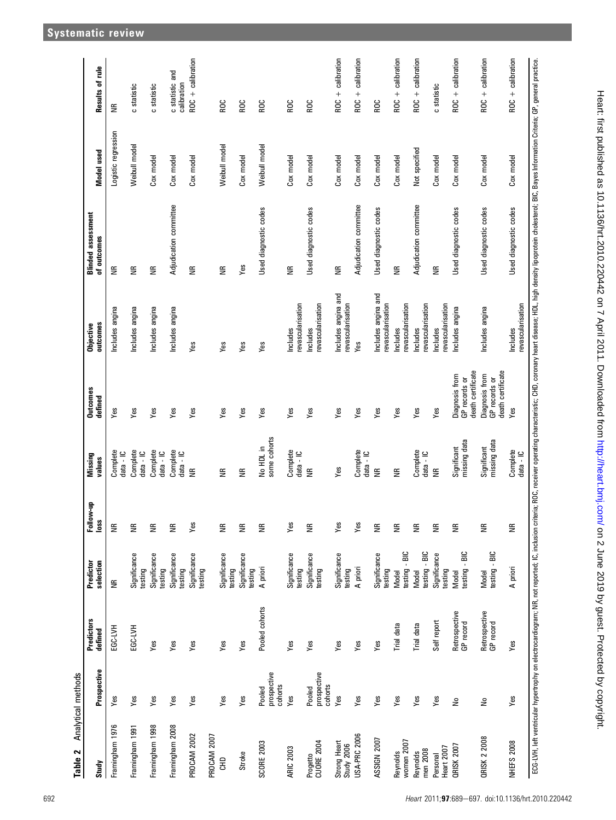| Table 2                       | Analytical methods               |                            |                             |                   |                             |                                                      |                                          |                                                                                                                                                                                                                                |                     |                                |
|-------------------------------|----------------------------------|----------------------------|-----------------------------|-------------------|-----------------------------|------------------------------------------------------|------------------------------------------|--------------------------------------------------------------------------------------------------------------------------------------------------------------------------------------------------------------------------------|---------------------|--------------------------------|
| Study                         | Prospective                      | Predictors<br>defined      | selection<br>Predictor      | Follow-up<br>ioss | Missing<br>values           | <b>Outcomes</b><br>defined                           | outcomes<br><b>Objective</b>             | <b>Blinded assessment</b><br>of outcomes                                                                                                                                                                                       | Model used          | Results of rule                |
| Framingham 1976               | Yes                              | EGC-LVH                    | $\tilde{\Xi}$               | $\tilde{\Xi}$     | Complete<br>$data - IC$     | Yes                                                  | Includes angina                          | €                                                                                                                                                                                                                              | Logistic regression | €                              |
| Framingham 1991               | Yes                              | EGC-LVH                    | Significance<br>testing     | €                 | Complete<br>$data - IC$     | Yes                                                  | Includes angina                          | €                                                                                                                                                                                                                              | Weibull model       | c statistic                    |
| Framingham 1998               | Yes                              | Yes                        | Significance<br>testing     | €                 | Complete<br>$data - IC$     | Yes                                                  | Includes angina                          | €                                                                                                                                                                                                                              | Cox model           | c statistic                    |
| Framingham 2008               | Yes                              | Yes                        | Significance<br>testing     | €                 | Complete<br>$data - IC$     | Yes                                                  | Includes angina                          | Adjudication committee                                                                                                                                                                                                         | Cox model           | c statistic and<br>calibration |
| PROCAM 2002                   | Yes                              | Yes                        | Significance<br>testing     | Yes               | €                           | Yes                                                  | Yes                                      | 乬                                                                                                                                                                                                                              | Cox model           | $ROC + calibration$            |
| PROCAM 2007                   |                                  |                            |                             |                   |                             |                                                      |                                          |                                                                                                                                                                                                                                |                     |                                |
| 뭉                             | Yes                              | Yes                        | Significance<br>testing     | €                 | €                           | Yes                                                  | Yes                                      | €                                                                                                                                                                                                                              | Weibull model       | ROC                            |
| Stroke                        | Yes                              | Yes                        | Significance<br>testing     | €                 | €                           | Yes                                                  | Yes                                      | Yes                                                                                                                                                                                                                            | Cox model           | ROC                            |
| SCORE 2003                    | prospective<br>cohorts<br>Pooled | Pooled cohorts             | A priori                    | €                 | some cohorts<br>No HDL in   | Yes                                                  | Yes                                      | Used diagnostic codes                                                                                                                                                                                                          | Weibull model       | ROC                            |
| <b>ARIC 2003</b>              | Yes                              | Yes                        | Significance<br>testing     | Yes               | Complete<br>$data - IC$     | Yes                                                  | revascularisation<br>Includes            | €                                                                                                                                                                                                                              | Cox model           | ROC                            |
| Progetto<br>CUORE 2004        | prospective<br>cohorts<br>Pooled | Yes                        | Significance<br>testing     | €                 | €                           | Yes                                                  | revascularisation<br>Includes            | Used diagnostic codes                                                                                                                                                                                                          | Cox model           | ROC                            |
| Strong Heart<br>Study 2006    | Yes                              | Yes                        | Significance<br>testing     | Yes               | Yes                         | Yes                                                  | Includes angina and<br>revascularisation | €                                                                                                                                                                                                                              | Cox model           | $ROC + calibration$            |
| <b>USA-PRC 2006</b>           | Yes                              | Yes                        | A priori                    | Yes               | Complete<br>$data - IC$     | Yes                                                  | Yes                                      | Adjudication committee                                                                                                                                                                                                         | Cox model           | $ROC + calibration$            |
| ASSIGN 2007                   | Yes                              | Yes                        | Significance<br>testing     | €                 | 乬                           | Yes                                                  | Includes angina and<br>revascularisation | Used diagnostic codes                                                                                                                                                                                                          | Cox model           | ROC                            |
| Reynolds<br>women 2007        | Yes                              | Trial data                 | BIC<br>testing -<br>Model   | €                 | $\widetilde{\Xi}$           | Yes                                                  | revascularisation<br>Includes            | $\widetilde{\Xi}$                                                                                                                                                                                                              | Cox model           | $ROC + calibration$            |
| Reynolds<br>men 2008          | Yes                              | Trial data                 | testing - BIC<br>Model      | €                 | Complete<br>$data - IC$     | Yes                                                  | revascularisation<br>Includes            | Adjudication committee                                                                                                                                                                                                         | Not specified       | $ROC + calibration$            |
| <b>Heart 2007</b><br>Personal | Yes                              | Self report                | Significance<br>testing     | €                 | $\tilde{\Xi}$               | Yes                                                  | revascularisation<br>ncludes             | €                                                                                                                                                                                                                              | Cox model           | c statistic                    |
| <b>QRISK 2007</b>             | ş                                | Retrospective<br>GP record | $-$ BIC<br>testing<br>Model | €                 | missing data<br>Significant | death certificate<br>Diagnosis from<br>GP records or | Includes angina                          | Used diagnostic codes                                                                                                                                                                                                          | Cox model           | $ROC + calibration$            |
| <b>QRISK 2 2008</b>           | ٤                                | Retrospective<br>GP record | $-$ BIC<br>testing<br>Model | €                 | missing data<br>Significant | death certificate<br>Diagnosis from<br>GP records or | Includes angina                          | Used diagnostic codes                                                                                                                                                                                                          | Cox model           | $ROC + calibration$            |
| <b>NHEFS 2008</b>             | Yes                              | Yes                        | A priori                    | €                 | Complete<br>$data - IC$     | Yes                                                  | revascularisation<br>Includes            | Used diagnostic codes                                                                                                                                                                                                          | Cox model           | $ROC + calibration$            |
|                               |                                  |                            |                             |                   |                             |                                                      |                                          | ECG-LVH, left ventricular hypertrophy on electrocardiogram; NR, not reported; IC, inclusion criteria; ROC, receiver operating characteristic; CHD, coronary heart disease; HDL, high density lipoprotein cholestero; BIC, Baye |                     |                                |

# Systematic review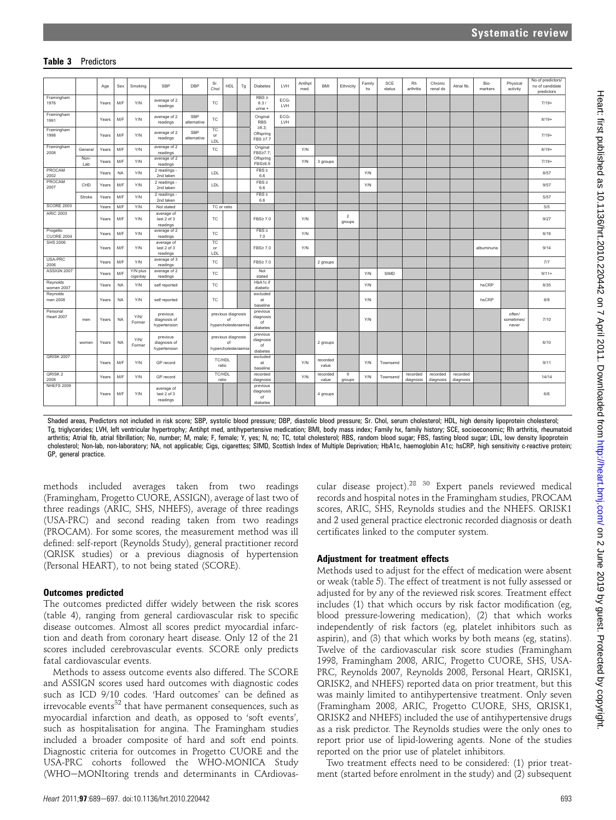### Table 3 Predictors

|                               |             | Age   | Sex       | Smoking              | <b>SBP</b>                               | <b>DBP</b>                | Sr.<br>Chol            | HDL                                             | Tg | <b>Diabetes</b>                         | LVH         | Antihpt<br>med. | <b>BMI</b>        | Ethnicity                | Family<br>hx | SCE<br>status | Rh<br>arthritis       | Chronic<br>renal ds   | Atrial fib.           | Bio-<br>markers | Physical<br>activity          | No of predictors/<br>no of candidate<br>predictors |
|-------------------------------|-------------|-------|-----------|----------------------|------------------------------------------|---------------------------|------------------------|-------------------------------------------------|----|-----------------------------------------|-------------|-----------------|-------------------|--------------------------|--------------|---------------|-----------------------|-----------------------|-----------------------|-----------------|-------------------------------|----------------------------------------------------|
| Framingham<br>1976            |             | Years | M/F       | Y/N                  | average of 2<br>readings                 |                           | TC                     |                                                 |    | $RBS \geq$<br>8.3/<br>urine +           | ECG-<br>LVH |                 |                   |                          |              |               |                       |                       |                       |                 |                               | $7/19+$                                            |
| Framingham<br>1991            |             | Years | M/F       | Y/N                  | average of 2<br>readings                 | <b>SBP</b><br>alternative | <b>TC</b>              |                                                 |    | Original<br><b>RBS</b>                  | ECG-<br>LVH |                 |                   |                          |              |               |                       |                       |                       |                 |                               | $8/19+$                                            |
| Framingham<br>1998            |             | Years | M/F       | Y/N                  | average of 2<br>readings                 | SBP<br>alternative        | TC<br>or<br>LDL        |                                                 |    | ≥8.3;<br>Offspring<br>$FBS \geq 7.7$    |             |                 |                   |                          |              |               |                       |                       |                       |                 |                               | $7/19+$                                            |
| Framingham<br>2008            | General     | Years | M/F       | Y/N                  | average of 2<br>readings                 |                           | <b>TC</b>              |                                                 |    | Original<br>FBS≥7.7;                    |             | Y/N             |                   |                          |              |               |                       |                       |                       |                 |                               | $8/19+$                                            |
|                               | Non-<br>Lab | Years | M/F       | Y/N                  | average of 2<br>readings                 |                           |                        |                                                 |    | Offspring<br>FBS≥6.9                    |             | Y/N             | 3 groups          |                          |              |               |                       |                       |                       |                 |                               | $7/19+$                                            |
| PROCAM<br>2002                |             | Years | <b>NA</b> | Y/N                  | 2 readings -<br>2nd taken                |                           | LDL                    |                                                 |    | $FBS \geq$<br>6.6                       |             |                 |                   |                          | Y/N          |               |                       |                       |                       |                 |                               | 8/57                                               |
| PROCAM<br>2007                | CHD         | Years | M/F       | Y/N                  | 2 readings<br>2nd taken                  |                           | <b>LDL</b>             |                                                 |    | $FBS \geq$<br>6.6                       |             |                 |                   |                          | Y/N          |               |                       |                       |                       |                 |                               | 9/57                                               |
|                               | Stroke      | Years | M/F       | Y/N                  | 2 readings -<br>2nd taken                |                           |                        |                                                 |    | $FBS \geq$<br>6.6                       |             |                 |                   |                          |              |               |                       |                       |                       |                 |                               | 5/57                                               |
| SCORE 2003                    |             | Years | M/F       | Y/N                  | Not stated                               |                           | TC or ratio            |                                                 |    |                                         |             |                 |                   |                          |              |               |                       |                       |                       |                 |                               | 5/5                                                |
| <b>ARIC 2003</b>              |             | Years | M/F       | Y/N                  | average of<br>last 2 of 3<br>readings    |                           | <b>TC</b>              |                                                 |    | $FBS \geq 7.0$                          |             | Y/N             |                   | $\overline{2}$<br>groups |              |               |                       |                       |                       |                 |                               | 9/27                                               |
| Progetto<br><b>CUORE 2004</b> |             | Years | M/F       | Y/N                  | average of 2<br>readings                 |                           | TC                     |                                                 |    | $FBS \geq$<br>7.0                       |             | Y/N             |                   |                          |              |               |                       |                       |                       |                 |                               | 8/19                                               |
| <b>SHS 2006</b>               |             | Years | M/F       | Y/N                  | average of<br>last 2 of 3<br>readings    |                           | TC<br>or<br>LDL        |                                                 |    | FBS <sub>2</sub> 7.0                    |             | Y/N             |                   |                          |              |               |                       |                       |                       | albuminuria     |                               | 9/14                                               |
| USA-PRC<br>2006               |             | Years | M/F       | Y/N                  | average of 3<br>readings                 |                           | TC                     |                                                 |    | FBS <sub>2</sub> 7.0                    |             |                 | 2 groups          |                          |              |               |                       |                       |                       |                 |                               | 7/7                                                |
| ASSIGN 2007                   |             | Years | M/F       | Y/N plus<br>cigs/day | average of 2<br>readings                 |                           | <b>TC</b>              |                                                 |    | Not<br>stated                           |             |                 |                   |                          | Y/N          | SIMD          |                       |                       |                       |                 |                               | $9/11+$                                            |
| Reynolds<br>women 2007        |             | Years | <b>NA</b> | Y/N                  | self reported                            |                           | TC                     |                                                 |    | HbA1c if<br>diabetic                    |             |                 |                   |                          | Y/N          |               |                       |                       |                       | hsCRP           |                               | 8/35                                               |
| Reynolds<br>men 2008          |             | Years | <b>NA</b> | Y/N                  | self reported                            |                           | TC                     |                                                 |    | excluded<br>at<br>baseline              |             |                 |                   |                          | Y/N          |               |                       |                       |                       | hsCRP           |                               | 8/8                                                |
| Personal<br>Heart 2007        | men         | Years | <b>NA</b> | Y/N/<br>Former       | previous<br>diagnosis of<br>hypertension |                           |                        | previous diagnosis<br>of<br>hypercholesteraemia |    | previous<br>diagnosis<br>of<br>diabetes |             |                 |                   |                          | Y/N          |               |                       |                       |                       |                 | often/<br>sometimes/<br>never | 7/10                                               |
|                               | women       | Years | <b>NA</b> | Y/N/<br>Former       | previous<br>diagnosis of<br>hypertension |                           |                        | previous diagnosis<br>of<br>hypercholesteraemia |    | previous<br>diagnosis<br>of<br>diabetes |             |                 | 2 groups          |                          |              |               |                       |                       |                       |                 |                               | 6/10                                               |
| <b>QRISK 2007</b>             |             | Years | M/F       | Y/N                  | GP record                                |                           | <b>TC/HDL</b><br>ratio |                                                 |    | excluded<br>at<br>baseline              |             | Y/N             | recorded<br>value |                          | Y/N          | Townsend      |                       |                       |                       |                 |                               | 9/11                                               |
| QRISK 2<br>2008               |             | Years | M/F       | Y/N                  | GP record                                |                           | TC/HDL<br>ratio        |                                                 |    | recorded<br>diagnosis                   |             | Y/N             | recorded<br>value | 9<br>groups              | Y/N          | Townsend      | recorded<br>diagnosis | recorded<br>diagnosis | recorded<br>diagnosis |                 |                               | 14/14                                              |
| <b>NHEFS 2008</b>             |             | Years | M/F       | Y/N                  | average of<br>last 2 of 3<br>readings    |                           |                        |                                                 |    | previous<br>diagnosis<br>of<br>diabetes |             |                 | 4 groups          |                          |              |               |                       |                       |                       |                 |                               | 6/6                                                |

Shaded areas, Predictors not included in risk score; SBP, systolic blood pressure; DBP, diastolic blood pressure; Sr. Chol, serum cholesterol; HDL, high density lipoprotein cholesterol; Tg, triglycerides; LVH, left ventricular hypertrophy; Antihpt med, antihypertensive medication; BMI, body mass index; Family hx, family history; SCE, socioeconomic; Rh arthritis, rheumatoid arthritis; Atrial fib, atrial fibrillation; No, number; M, male; F, female; Y, yes; N, no; TC, total cholesterol; RBS, random blood sugar; FBS, fasting blood sugar; LDL, low density lipoprotein cholesterol; Non-lab, non-laboratory; NA, not applicable; Cigs, cigarettes; SIMD, Scottish Index of Multiple Deprivation; HbA1c, haemoglobin A1c; hsCRP, high sensitivity c-reactive protein; GP, general practice.

methods included averages taken from two readings (Framingham, Progetto CUORE, ASSIGN), average of last two of three readings (ARIC, SHS, NHEFS), average of three readings (USA-PRC) and second reading taken from two readings (PROCAM). For some scores, the measurement method was ill defined: self-report (Reynolds Study), general practitioner record (QRISK studies) or a previous diagnosis of hypertension (Personal HEART), to not being stated (SCORE).

### Outcomes predicted

The outcomes predicted differ widely between the risk scores (table 4), ranging from general cardiovascular risk to specific disease outcomes. Almost all scores predict myocardial infarction and death from coronary heart disease. Only 12 of the 21 scores included cerebrovascular events. SCORE only predicts fatal cardiovascular events.

Methods to assess outcome events also differed. The SCORE and ASSIGN scores used hard outcomes with diagnostic codes such as ICD 9/10 codes. 'Hard outcomes' can be defined as irrevocable events $32$  that have permanent consequences, such as myocardial infarction and death, as opposed to 'soft events', such as hospitalisation for angina. The Framingham studies included a broader composite of hard and soft end points. Diagnostic criteria for outcomes in Progetto CUORE and the USA-PRC cohorts followed the WHO-MONICA Study (WHO-MONItoring trends and determinants in CArdiovascular disease project).28 30 Expert panels reviewed medical records and hospital notes in the Framingham studies, PROCAM scores, ARIC, SHS, Reynolds studies and the NHEFS. QRISK1 and 2 used general practice electronic recorded diagnosis or death certificates linked to the computer system.

# Adjustment for treatment effects

Methods used to adjust for the effect of medication were absent or weak (table 5). The effect of treatment is not fully assessed or adjusted for by any of the reviewed risk scores. Treatment effect includes (1) that which occurs by risk factor modification (eg, blood pressure-lowering medication), (2) that which works independently of risk factors (eg, platelet inhibitors such as aspirin), and (3) that which works by both means (eg, statins). Twelve of the cardiovascular risk score studies (Framingham 1998, Framingham 2008, ARIC, Progetto CUORE, SHS, USA-PRC, Reynolds 2007, Reynolds 2008, Personal Heart, QRISK1, QRISK2, and NHEFS) reported data on prior treatment, but this was mainly limited to antihypertensive treatment. Only seven (Framingham 2008, ARIC, Progetto CUORE, SHS, QRISK1, QRISK2 and NHEFS) included the use of antihypertensive drugs as a risk predictor. The Reynolds studies were the only ones to report prior use of lipid-lowering agents. None of the studies reported on the prior use of platelet inhibitors.

Two treatment effects need to be considered: (1) prior treatment (started before enrolment in the study) and (2) subsequent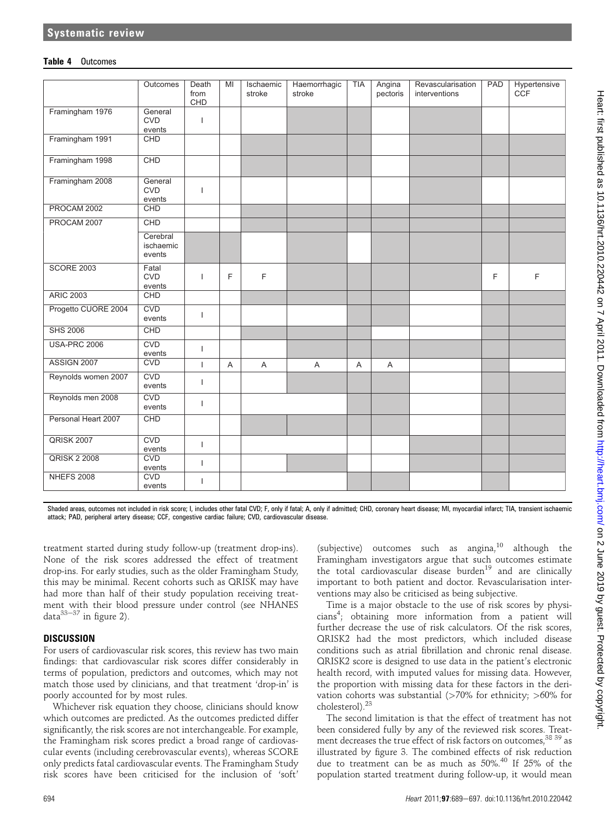# Table 4 Outcomes

|                     | Outcomes                        | Death<br>from<br>CHD | MI | Ischaemic<br>stroke | Haemorrhagic<br>stroke | TIA | Angina<br>pectoris | Revascularisation<br>interventions | PAD | Hypertensive<br><b>CCF</b> |
|---------------------|---------------------------------|----------------------|----|---------------------|------------------------|-----|--------------------|------------------------------------|-----|----------------------------|
| Framingham 1976     | General<br><b>CVD</b><br>events | $\overline{1}$       |    |                     |                        |     |                    |                                    |     |                            |
| Framingham 1991     | <b>CHD</b>                      |                      |    |                     |                        |     |                    |                                    |     |                            |
| Framingham 1998     | <b>CHD</b>                      |                      |    |                     |                        |     |                    |                                    |     |                            |
| Framingham 2008     | General<br><b>CVD</b><br>events | $\mathbf{I}$         |    |                     |                        |     |                    |                                    |     |                            |
| PROCAM 2002         | CHD                             |                      |    |                     |                        |     |                    |                                    |     |                            |
| PROCAM 2007         | <b>CHD</b>                      |                      |    |                     |                        |     |                    |                                    |     |                            |
|                     | Cerebral<br>ischaemic<br>events |                      |    |                     |                        |     |                    |                                    |     |                            |
| <b>SCORE 2003</b>   | Fatal<br><b>CVD</b><br>events   | $\mathbf{I}$         | F  | F                   |                        |     |                    |                                    | F   | F                          |
| <b>ARIC 2003</b>    | CHD                             |                      |    |                     |                        |     |                    |                                    |     |                            |
| Progetto CUORE 2004 | <b>CVD</b><br>events            | $\overline{1}$       |    |                     |                        |     |                    |                                    |     |                            |
| <b>SHS 2006</b>     | CHD                             |                      |    |                     |                        |     |                    |                                    |     |                            |
| <b>USA-PRC 2006</b> | <b>CVD</b><br>events            | $\mathbf{I}$         |    |                     |                        |     |                    |                                    |     |                            |
| ASSIGN 2007         | <b>CVD</b>                      | $\mathbf{I}$         | A  | $\overline{A}$      | A                      | A   | Α                  |                                    |     |                            |
| Reynolds women 2007 | <b>CVD</b><br>events            | $\mathbf{I}$         |    |                     |                        |     |                    |                                    |     |                            |
| Reynolds men 2008   | <b>CVD</b><br>events            | $\mathbf{I}$         |    |                     |                        |     |                    |                                    |     |                            |
| Personal Heart 2007 | CHD                             |                      |    |                     |                        |     |                    |                                    |     |                            |
| <b>QRISK 2007</b>   | <b>CVD</b><br>events            | $\mathbf{I}$         |    |                     |                        |     |                    |                                    |     |                            |
| <b>QRISK 2 2008</b> | <b>CVD</b><br>events            | $\mathbf{I}$         |    |                     |                        |     |                    |                                    |     |                            |
| <b>NHEFS 2008</b>   | <b>CVD</b><br>events            | 1                    |    |                     |                        |     |                    |                                    |     |                            |

Shaded areas, outcomes not included in risk score; I, includes other fatal CVD; F, only if fatal; A, only if admitted; CHD, coronary heart disease; MI, myocardial infarct; TIA, transient ischaemic attack; PAD, peripheral artery disease; CCF, congestive cardiac failure; CVD, cardiovascular disease.

treatment started during study follow-up (treatment drop-ins). None of the risk scores addressed the effect of treatment drop-ins. For early studies, such as the older Framingham Study, this may be minimal. Recent cohorts such as QRISK may have had more than half of their study population receiving treatment with their blood pressure under control (see NHANES data $33-37$  in figure 2).

# **DISCUSSION**

For users of cardiovascular risk scores, this review has two main findings: that cardiovascular risk scores differ considerably in terms of population, predictors and outcomes, which may not match those used by clinicians, and that treatment 'drop-in' is poorly accounted for by most rules.

Whichever risk equation they choose, clinicians should know which outcomes are predicted. As the outcomes predicted differ significantly, the risk scores are not interchangeable. For example, the Framingham risk scores predict a broad range of cardiovascular events (including cerebrovascular events), whereas SCORE only predicts fatal cardiovascular events. The Framingham Study risk scores have been criticised for the inclusion of 'soft'

(subjective) outcomes such as angina, $^{10}$  although the Framingham investigators argue that such outcomes estimate the total cardiovascular disease burden<sup>19</sup> and are clinically important to both patient and doctor. Revascularisation interventions may also be criticised as being subjective.

Time is a major obstacle to the use of risk scores by physicians<sup>4</sup> ; obtaining more information from a patient will further decrease the use of risk calculators. Of the risk scores, QRISK2 had the most predictors, which included disease conditions such as atrial fibrillation and chronic renal disease. QRISK2 score is designed to use data in the patient's electronic health record, with imputed values for missing data. However, the proportion with missing data for these factors in the derivation cohorts was substantial  $(>70\%$  for ethnicity;  $>60\%$  for cholesterol).<sup>23</sup>

The second limitation is that the effect of treatment has not been considered fully by any of the reviewed risk scores. Treatment decreases the true effect of risk factors on outcomes, 38 39 as illustrated by figure 3. The combined effects of risk reduction due to treatment can be as much as 50%.<sup>40</sup> If 25% of the population started treatment during follow-up, it would mean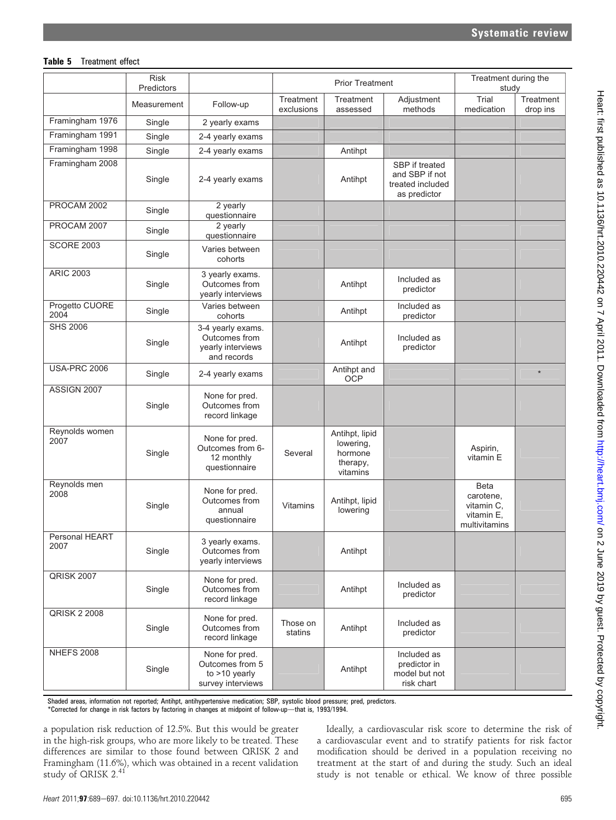### Table 5 Treatment effect

|                        | <b>Risk</b><br>Predictors |                                                                         |                         | <b>Prior Treatment</b>                                         |                                                                      | Treatment during the<br>study                                  |                       |
|------------------------|---------------------------|-------------------------------------------------------------------------|-------------------------|----------------------------------------------------------------|----------------------------------------------------------------------|----------------------------------------------------------------|-----------------------|
|                        | Measurement               | Follow-up                                                               | Treatment<br>exclusions | Treatment<br>assessed                                          | Adjustment<br>methods                                                | Trial<br>medication                                            | Treatment<br>drop ins |
| Framingham 1976        | Single                    | 2 yearly exams                                                          |                         |                                                                |                                                                      |                                                                |                       |
| Framingham 1991        | Single                    | 2-4 yearly exams                                                        |                         |                                                                |                                                                      |                                                                |                       |
| Framingham 1998        | Single                    | 2-4 yearly exams                                                        |                         | Antihpt                                                        |                                                                      |                                                                |                       |
| Framingham 2008        | Single                    | 2-4 yearly exams                                                        |                         | Antihpt                                                        | SBP if treated<br>and SBP if not<br>treated included<br>as predictor |                                                                |                       |
| PROCAM 2002            | Single                    | 2 yearly<br>questionnaire                                               |                         |                                                                |                                                                      |                                                                |                       |
| PROCAM 2007            | Single                    | 2 yearly<br>questionnaire                                               |                         |                                                                |                                                                      |                                                                |                       |
| <b>SCORE 2003</b>      | Single                    | Varies between<br>cohorts                                               |                         |                                                                |                                                                      |                                                                |                       |
| <b>ARIC 2003</b>       | Single                    | 3 yearly exams.<br>Outcomes from<br>yearly interviews                   |                         | Antihpt                                                        | Included as<br>predictor                                             |                                                                |                       |
| Progetto CUORE<br>2004 | Single                    | Varies between<br>cohorts                                               |                         | Antihpt                                                        | Included as<br>predictor                                             |                                                                |                       |
| <b>SHS 2006</b>        | Single                    | 3-4 yearly exams.<br>Outcomes from<br>yearly interviews<br>and records  |                         | Antihpt                                                        | Included as<br>predictor                                             |                                                                |                       |
| <b>USA-PRC 2006</b>    | Single                    | 2-4 yearly exams                                                        |                         | Antihpt and<br><b>OCP</b>                                      |                                                                      |                                                                | $\star$               |
| ASSIGN 2007            | Single                    | None for pred.<br>Outcomes from<br>record linkage                       |                         |                                                                |                                                                      |                                                                |                       |
| Reynolds women<br>2007 | Single                    | None for pred.<br>Outcomes from 6-<br>12 monthly<br>questionnaire       | Several                 | Antihpt, lipid<br>lowering,<br>hormone<br>therapy,<br>vitamins |                                                                      | Aspirin,<br>vitamin E                                          |                       |
| Reynolds men<br>2008   | Single                    | None for pred.<br>Outcomes from<br>annual<br>questionnaire              | Vitamins                | Antihpt, lipid<br>lowering                                     |                                                                      | Beta<br>carotene,<br>vitamin C,<br>vitamin E,<br>multivitamins |                       |
| Personal HEART<br>2007 | Single                    | 3 yearly exams.<br>Outcomes from<br>yearly interviews                   |                         | Antihpt                                                        |                                                                      |                                                                |                       |
| <b>QRISK 2007</b>      | Single                    | None for pred.<br>Outcomes from<br>record linkage                       |                         | Antihpt                                                        | Included as<br>predictor                                             |                                                                |                       |
| <b>QRISK 2 2008</b>    | Single                    | None for pred.<br>Outcomes from<br>record linkage                       | Those on<br>statins     | Antihpt                                                        | Included as<br>predictor                                             |                                                                |                       |
| <b>NHEFS 2008</b>      | Single                    | None for pred.<br>Outcomes from 5<br>to >10 yearly<br>survey interviews |                         | Antihpt                                                        | Included as<br>predictor in<br>model but not<br>risk chart           |                                                                |                       |

Shaded areas, information not reported; Antihpt, antihypertensive medication; SBP, systolic blood pressure; pred, predictors.<br>\*Corrected for change in risk factors by factoring in changes at midpoint of follow-up—that is,

a population risk reduction of 12.5%. But this would be greater in the high-risk groups, who are more likely to be treated. These differences are similar to those found between QRISK 2 and Framingham (11.6%), which was obtained in a recent validation study of QRISK 2.41

Ideally, a cardiovascular risk score to determine the risk of a cardiovascular event and to stratify patients for risk factor modification should be derived in a population receiving no treatment at the start of and during the study. Such an ideal study is not tenable or ethical. We know of three possible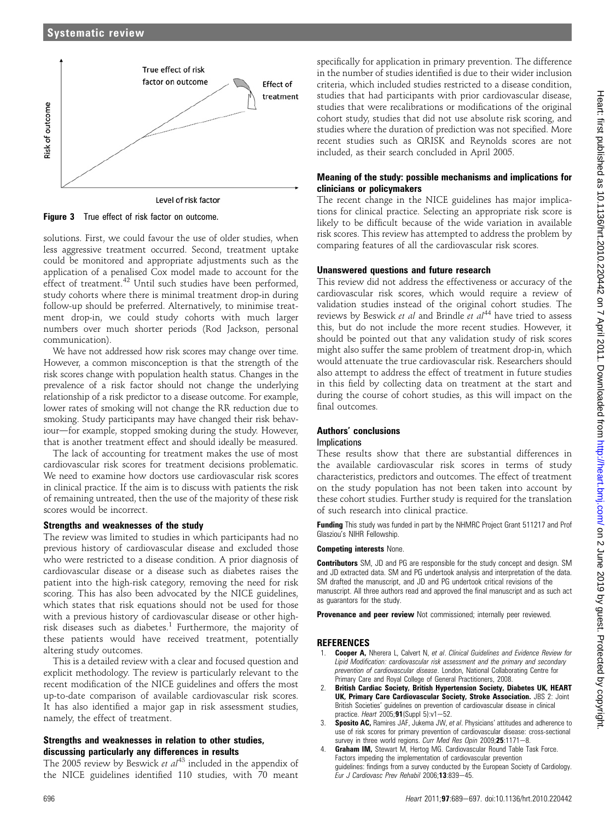

Level of risk factor

Figure 3 True effect of risk factor on outcome.

solutions. First, we could favour the use of older studies, when less aggressive treatment occurred. Second, treatment uptake could be monitored and appropriate adjustments such as the application of a penalised Cox model made to account for the effect of treatment.<sup>42</sup> Until such studies have been performed, study cohorts where there is minimal treatment drop-in during follow-up should be preferred. Alternatively, to minimise treatment drop-in, we could study cohorts with much larger numbers over much shorter periods (Rod Jackson, personal communication).

We have not addressed how risk scores may change over time. However, a common misconception is that the strength of the risk scores change with population health status. Changes in the prevalence of a risk factor should not change the underlying relationship of a risk predictor to a disease outcome. For example, lower rates of smoking will not change the RR reduction due to smoking. Study participants may have changed their risk behaviour-for example, stopped smoking during the study. However, that is another treatment effect and should ideally be measured.

The lack of accounting for treatment makes the use of most cardiovascular risk scores for treatment decisions problematic. We need to examine how doctors use cardiovascular risk scores in clinical practice. If the aim is to discuss with patients the risk of remaining untreated, then the use of the majority of these risk scores would be incorrect.

### Strengths and weaknesses of the study

The review was limited to studies in which participants had no previous history of cardiovascular disease and excluded those who were restricted to a disease condition. A prior diagnosis of cardiovascular disease or a disease such as diabetes raises the patient into the high-risk category, removing the need for risk scoring. This has also been advocated by the NICE guidelines, which states that risk equations should not be used for those with a previous history of cardiovascular disease or other highrisk diseases such as diabetes.<sup>1</sup> Furthermore, the majority of these patients would have received treatment, potentially altering study outcomes.

This is a detailed review with a clear and focused question and explicit methodology. The review is particularly relevant to the recent modification of the NICE guidelines and offers the most up-to-date comparison of available cardiovascular risk scores. It has also identified a major gap in risk assessment studies, namely, the effect of treatment.

# Strengths and weaknesses in relation to other studies, discussing particularly any differences in results

The 2005 review by Beswick et  $al^{43}$  included in the appendix of the NICE guidelines identified 110 studies, with 70 meant

specifically for application in primary prevention. The difference in the number of studies identified is due to their wider inclusion criteria, which included studies restricted to a disease condition, studies that had participants with prior cardiovascular disease, studies that were recalibrations or modifications of the original cohort study, studies that did not use absolute risk scoring, and studies where the duration of prediction was not specified. More recent studies such as QRISK and Reynolds scores are not included, as their search concluded in April 2005.

# Meaning of the study: possible mechanisms and implications for clinicians or policymakers

The recent change in the NICE guidelines has major implications for clinical practice. Selecting an appropriate risk score is likely to be difficult because of the wide variation in available risk scores. This review has attempted to address the problem by comparing features of all the cardiovascular risk scores.

# Unanswered questions and future research

This review did not address the effectiveness or accuracy of the cardiovascular risk scores, which would require a review of validation studies instead of the original cohort studies. The reviews by Beswick et al and Brindle et  $a^{144}$  have tried to assess this, but do not include the more recent studies. However, it should be pointed out that any validation study of risk scores might also suffer the same problem of treatment drop-in, which would attenuate the true cardiovascular risk. Researchers should also attempt to address the effect of treatment in future studies in this field by collecting data on treatment at the start and during the course of cohort studies, as this will impact on the final outcomes.

# Authors' conclusions

### Implications

These results show that there are substantial differences in the available cardiovascular risk scores in terms of study characteristics, predictors and outcomes. The effect of treatment on the study population has not been taken into account by these cohort studies. Further study is required for the translation of such research into clinical practice.

Funding This study was funded in part by the NHMRC Project Grant 511217 and Prof Glasziou's NIHR Fellowship.

### Competing interests None.

Contributors SM, JD and PG are responsible for the study concept and design. SM and JD extracted data. SM and PG undertook analysis and interpretation of the data. SM drafted the manuscript, and JD and PG undertook critical revisions of the manuscript. All three authors read and approved the final manuscript and as such act as guarantors for the study.

Provenance and peer review Not commissioned; internally peer reviewed.

# **REFERENCES**

- Cooper A, Nherera L, Calvert N, et al. Clinical Guidelines and Evidence Review for Lipid Modification: cardiovascular risk assessment and the primary and secondary prevention of cardiovascular disease. London, National Collaborating Centre for Primary Care and Royal College of General Practitioners, 2008.
- 2. British Cardiac Society, British Hypertension Society, Diabetes UK, HEART UK, Primary Care Cardiovascular Society, Stroke Association. JBS 2: Joint British Societies' guidelines on prevention of cardiovascular disease in clinical practice. Heart 2005; $91$ (Suppl 5): $v1-52$ .
- 3. **Sposito AC,** Ramires JAF, Jukema JW, et al. Physicians' attitudes and adherence to use of risk scores for primary prevention of cardiovascular disease: cross-sectional survey in three world regions. Curr Med Res Opin 2009;25:1171-8.
- Graham IM, Stewart M, Hertog MG. Cardiovascular Round Table Task Force. Factors impeding the implementation of cardiovascular prevention guidelines: findings from a survey conducted by the European Society of Cardiology. Eur J Cardiovasc Prev Rehabil 2006;13:839-45.